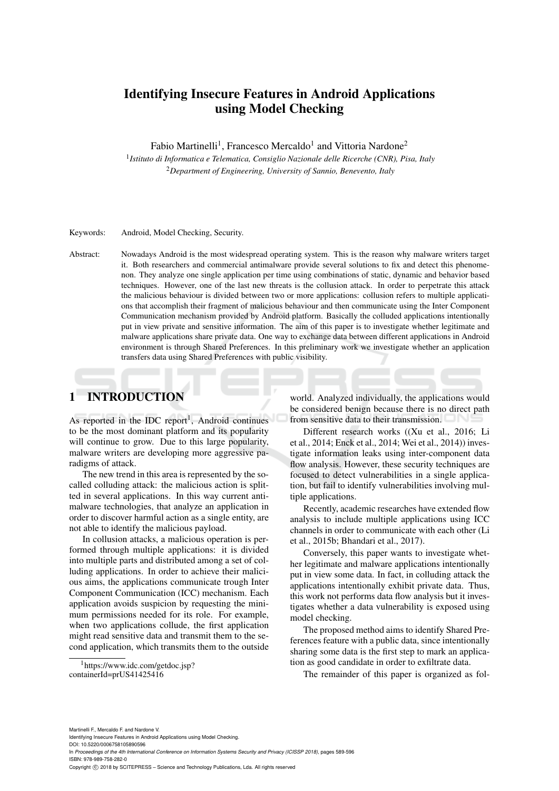# Identifying Insecure Features in Android Applications using Model Checking

Fabio Martinelli<sup>1</sup>, Francesco Mercaldo<sup>1</sup> and Vittoria Nardone<sup>2</sup>

1 *Istituto di Informatica e Telematica, Consiglio Nazionale delle Ricerche (CNR), Pisa, Italy* <sup>2</sup>*Department of Engineering, University of Sannio, Benevento, Italy*

## Keywords: Android, Model Checking, Security.

Abstract: Nowadays Android is the most widespread operating system. This is the reason why malware writers target it. Both researchers and commercial antimalware provide several solutions to fix and detect this phenomenon. They analyze one single application per time using combinations of static, dynamic and behavior based techniques. However, one of the last new threats is the collusion attack. In order to perpetrate this attack the malicious behaviour is divided between two or more applications: collusion refers to multiple applications that accomplish their fragment of malicious behaviour and then communicate using the Inter Component Communication mechanism provided by Android platform. Basically the colluded applications intentionally put in view private and sensitive information. The aim of this paper is to investigate whether legitimate and malware applications share private data. One way to exchange data between different applications in Android environment is through Shared Preferences. In this preliminary work we investigate whether an application transfers data using Shared Preferences with public visibility.

# 1 INTRODUCTION

As reported in the IDC report<sup>1</sup>, Android continues to be the most dominant platform and its popularity will continue to grow. Due to this large popularity, malware writers are developing more aggressive paradigms of attack.

The new trend in this area is represented by the socalled colluding attack: the malicious action is splitted in several applications. In this way current antimalware technologies, that analyze an application in order to discover harmful action as a single entity, are not able to identify the malicious payload.

In collusion attacks, a malicious operation is performed through multiple applications: it is divided into multiple parts and distributed among a set of colluding applications. In order to achieve their malicious aims, the applications communicate trough Inter Component Communication (ICC) mechanism. Each application avoids suspicion by requesting the minimum permissions needed for its role. For example, when two applications collude, the first application might read sensitive data and transmit them to the second application, which transmits them to the outside

world. Analyzed individually, the applications would be considered benign because there is no direct path from sensitive data to their transmission.

Different research works ((Xu et al., 2016; Li et al., 2014; Enck et al., 2014; Wei et al., 2014)) investigate information leaks using inter-component data flow analysis. However, these security techniques are focused to detect vulnerabilities in a single application, but fail to identify vulnerabilities involving multiple applications.

Recently, academic researches have extended flow analysis to include multiple applications using ICC channels in order to communicate with each other (Li et al., 2015b; Bhandari et al., 2017).

Conversely, this paper wants to investigate whether legitimate and malware applications intentionally put in view some data. In fact, in colluding attack the applications intentionally exhibit private data. Thus, this work not performs data flow analysis but it investigates whether a data vulnerability is exposed using model checking.

The proposed method aims to identify Shared Preferences feature with a public data, since intentionally sharing some data is the first step to mark an application as good candidate in order to exfiltrate data.

The remainder of this paper is organized as fol-

<sup>&</sup>lt;sup>1</sup>https://www.idc.com/getdoc.jsp? containerId=prUS41425416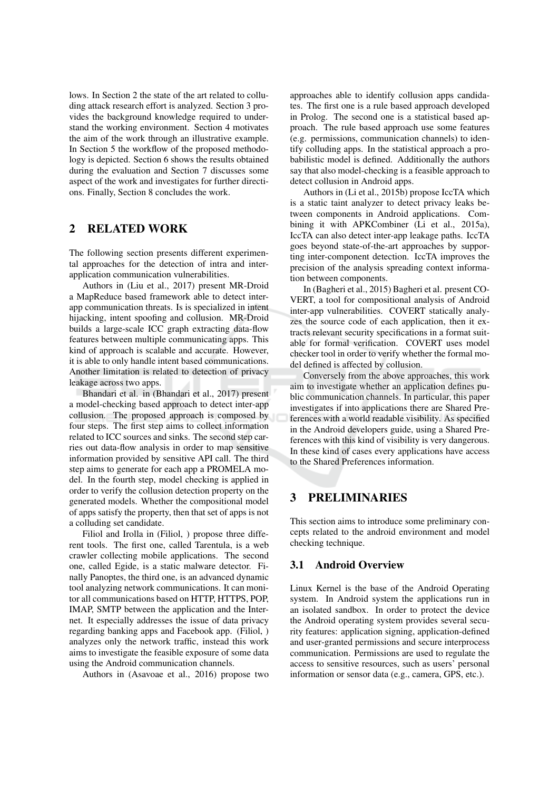lows. In Section 2 the state of the art related to colluding attack research effort is analyzed. Section 3 provides the background knowledge required to understand the working environment. Section 4 motivates the aim of the work through an illustrative example. In Section 5 the workflow of the proposed methodology is depicted. Section 6 shows the results obtained during the evaluation and Section 7 discusses some aspect of the work and investigates for further directions. Finally, Section 8 concludes the work.

#### $\mathbf{2}$ **RELATED WORK**

The following section presents different experimental approaches for the detection of intra and interapplication communication vulnerabilities.

Authors in (Liu et al., 2017) present MR-Droid a MapReduce based framework able to detect interapp communication threats. Is is specialized in intent hijacking, intent spoofing and collusion. MR-Droid builds a large-scale ICC graph extracting data-flow features between multiple communicating apps. This kind of approach is scalable and accurate. However, it is able to only handle intent based communications. Another limitation is related to detection of privacy leakage across two apps.

Bhandari et al. in (Bhandari et al., 2017) present a model-checking based approach to detect inter-app collusion. The proposed approach is composed by four steps. The first step aims to collect information related to ICC sources and sinks. The second step carries out data-flow analysis in order to map sensitive information provided by sensitive API call. The third step aims to generate for each app a PROMELA model. In the fourth step, model checking is applied in order to verify the collusion detection property on the generated models. Whether the compositional model of apps satisfy the property, then that set of apps is not a colluding set candidate.

Filiol and Irolla in (Filiol, ) propose three different tools. The first one, called Tarentula, is a web crawler collecting mobile applications. The second one, called Egide, is a static malware detector. Finally Panoptes, the third one, is an advanced dynamic tool analyzing network communications. It can monitor all communications based on HTTP, HTTPS, POP, IMAP, SMTP between the application and the Internet. It especially addresses the issue of data privacy regarding banking apps and Facebook app. (Filiol, ) analyzes only the network traffic, instead this work aims to investigate the feasible exposure of some data using the Android communication channels.

Authors in (Asavoae et al., 2016) propose two

approaches able to identify collusion apps candidates. The first one is a rule based approach developed in Prolog. The second one is a statistical based approach. The rule based approach use some features (e.g. permissions, communication channels) to identify colluding apps. In the statistical approach a probabilistic model is defined. Additionally the authors say that also model-checking is a feasible approach to detect collusion in Android apps.

Authors in (Li et al., 2015b) propose IccTA which is a static taint analyzer to detect privacy leaks between components in Android applications. Combining it with APKCombiner (Li et al., 2015a), IccTA can also detect inter-app leakage paths. IccTA goes beyond state-of-the-art approaches by supporting inter-component detection. IccTA improves the precision of the analysis spreading context information between components.

In (Bagheri et al., 2015) Bagheri et al. present CO-VERT, a tool for compositional analysis of Android inter-app vulnerabilities. COVERT statically analyzes the source code of each application, then it extracts relevant security specifications in a format suitable for formal verification. COVERT uses model checker tool in order to verify whether the formal model defined is affected by collusion.

Conversely from the above approaches, this work aim to investigate whether an application defines public communication channels. In particular, this paper investigates if into applications there are Shared Preferences with a world readable visibility. As specified in the Android developers guide, using a Shared Preferences with this kind of visibility is very dangerous. In these kind of cases every applications have access to the Shared Preferences information.

#### 3 **PRELIMINARIES**

This section aims to introduce some preliminary concepts related to the android environment and model checking technique.

## 3.1 Android Overview

Linux Kernel is the base of the Android Operating system. In Android system the applications run in an isolated sandbox. In order to protect the device the Android operating system provides several security features: application signing, application-defined and user-granted permissions and secure interprocess communication. Permissions are used to regulate the access to sensitive resources, such as users' personal information or sensor data (e.g., camera, GPS, etc.).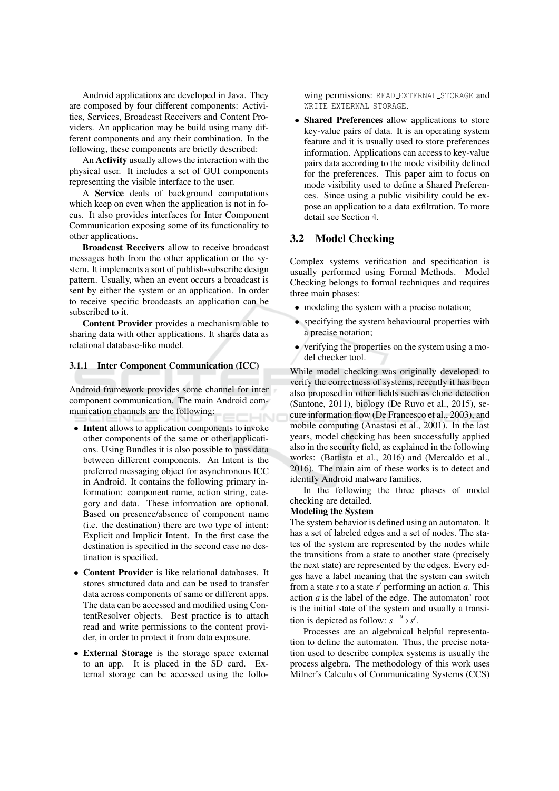Android applications are developed in Java. They are composed by four different components: Activities, Services, Broadcast Receivers and Content Providers. An application may be build using many different components and any their combination. In the following, these components are briefly described:

An **Activity** usually allows the interaction with the physical user. It includes a set of GUI components representing the visible interface to the user.

A Service deals of background computations which keep on even when the application is not in focus. It also provides interfaces for Inter Component Communication exposing some of its functionality to other applications.

**Broadcast Receivers** allow to receive broadcast messages both from the other application or the system. It implements a sort of publish-subscribe design pattern. Usually, when an event occurs a broadcast is sent by either the system or an application. In order to receive specific broadcasts an application can be subscribed to it.

Content Provider provides a mechanism able to sharing data with other applications. It shares data as relational database-like model.

### 3.1.1 Inter Component Communication (ICC)

Android framework provides some channel for inter component communication. The main Android communication channels are the following:

- Intent allows to application components to invoke other components of the same or other applications. Using Bundles it is also possible to pass data between different components. An Intent is the preferred messaging object for asynchronous ICC in Android. It contains the following primary information: component name, action string, category and data. These information are optional. Based on presence/absence of component name (i.e. the destination) there are two type of intent: Explicit and Implicit Intent. In the first case the destination is specified in the second case no destination is specified.
- Content Provider is like relational databases. It stores structured data and can be used to transfer data across components of same or different apps. The data can be accessed and modified using ContentResolver objects. Best practice is to attach read and write permissions to the content provider, in order to protect it from data exposure.
- External Storage is the storage space external to an app. It is placed in the SD card. External storage can be accessed using the follo-

wing permissions: READ\_EXTERNAL\_STORAGE and WRITE\_EXTERNAL\_STORAGE.

• Shared Preferences allow applications to store key-value pairs of data. It is an operating system feature and it is usually used to store preferences information. Applications can access to key-value pairs data according to the mode visibility defined for the preferences. This paper aim to focus on mode visibility used to define a Shared Preferences. Since using a public visibility could be expose an application to a data exfiltration. To more detail see Section 4.

#### $3.2$ **Model Checking**

Complex systems verification and specification is usually performed using Formal Methods. Model Checking belongs to formal techniques and requires three main phases:

- modeling the system with a precise notation;
- specifying the system behavioural properties with a precise notation:
- verifying the properties on the system using a model checker tool.

While model checking was originally developed to verify the correctness of systems, recently it has been also proposed in other fields such as clone detection (Santone, 2011), biology (De Ruvo et al., 2015), secure information flow (De Francesco et al., 2003), and mobile computing (Anastasi et al., 2001). In the last years, model checking has been successfully applied also in the security field, as explained in the following works: (Battista et al., 2016) and (Mercaldo et al., 2016). The main aim of these works is to detect and identify Android malware families.

In the following the three phases of model checking are detailed.

### **Modeling the System**

The system behavior is defined using an automaton. It has a set of labeled edges and a set of nodes. The states of the system are represented by the nodes while the transitions from a state to another state (precisely the next state) are represented by the edges. Every edges have a label meaning that the system can switch from a state s to a state s' performing an action  $a$ . This action  $a$  is the label of the edge. The automaton' root is the initial state of the system and usually a transition is depicted as follow:  $s \xrightarrow{a} s'$ .

Processes are an algebraical helpful representation to define the automaton. Thus, the precise notation used to describe complex systems is usually the process algebra. The methodology of this work uses Milner's Calculus of Communicating Systems (CCS)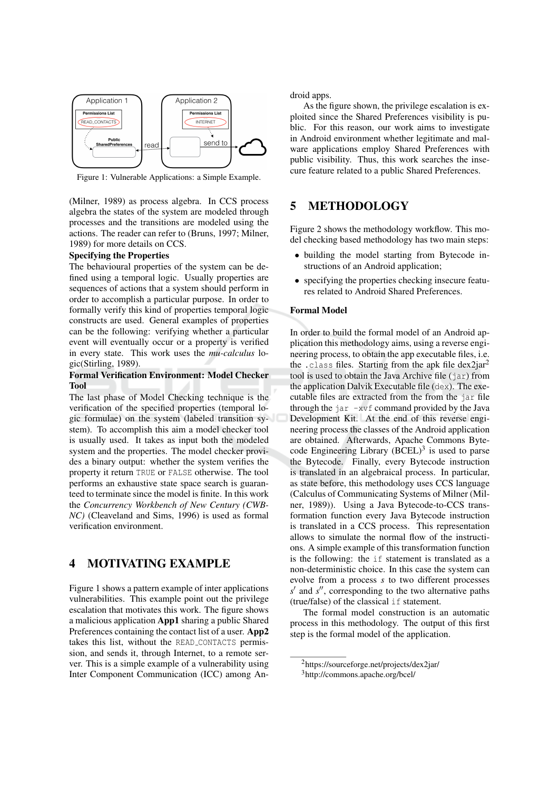

Figure 1: Vulnerable Applications: a Simple Example.

(Milner, 1989) as process algebra. In CCS process algebra the states of the system are modeled through processes and the transitions are modeled using the actions. The reader can refer to (Bruns, 1997; Milner, 1989) for more details on CCS.

### **Specifying the Properties**

The behavioural properties of the system can be defined using a temporal logic. Usually properties are sequences of actions that a system should perform in order to accomplish a particular purpose. In order to formally verify this kind of properties temporal logic constructs are used. General examples of properties can be the following: verifying whether a particular event will eventually occur or a property is verified in every state. This work uses the mu-calculus logic(Stirling, 1989).

### **Formal Verification Environment: Model Checker Tool**

The last phase of Model Checking technique is the verification of the specified properties (temporal logic formulae) on the system (labeled transition system). To accomplish this aim a model checker tool is usually used. It takes as input both the modeled system and the properties. The model checker provides a binary output: whether the system verifies the property it return TRUE or FALSE otherwise. The tool performs an exhaustive state space search is guaranteed to terminate since the model is finite. In this work the Concurrency Workbench of New Century (CWB-NC) (Cleaveland and Sims, 1996) is used as formal verification environment.

#### $\overline{\mathbf{4}}$ **MOTIVATING EXAMPLE**

Figure 1 shows a pattern example of inter applications vulnerabilities. This example point out the privilege escalation that motivates this work. The figure shows a malicious application App1 sharing a public Shared Preferences containing the contact list of a user. App2 takes this list, without the READ\_CONTACTS permission, and sends it, through Internet, to a remote server. This is a simple example of a vulnerability using Inter Component Communication (ICC) among Android apps.

As the figure shown, the privilege escalation is exploited since the Shared Preferences visibility is public. For this reason, our work aims to investigate in Android environment whether legitimate and malware applications employ Shared Preferences with public visibility. Thus, this work searches the insecure feature related to a public Shared Preferences.

#### $\overline{\mathbf{5}}$ **METHODOLOGY**

Figure 2 shows the methodology workflow. This model checking based methodology has two main steps:

- building the model starting from Bytecode instructions of an Android application;
- specifying the properties checking insecure features related to Android Shared Preferences.

### **Formal Model**

In order to build the formal model of an Android application this methodology aims, using a reverse engineering process, to obtain the app executable files, i.e. the .class files. Starting from the apk file dex2jar<sup>2</sup> tool is used to obtain the Java Archive file (jar) from the application Dalvik Executable file (dex). The executable files are extracted from the from the jar file through the  $jar -xvf$  command provided by the Java Development Kit. At the end of this reverse engineering process the classes of the Android application are obtained. Afterwards, Apache Commons Bytecode Engineering Library  $(BCEL)^3$  is used to parse the Bytecode. Finally, every Bytecode instruction is translated in an algebraical process. In particular, as state before, this methodology uses CCS language (Calculus of Communicating Systems of Milner (Milner, 1989)). Using a Java Bytecode-to-CCS transformation function every Java Bytecode instruction is translated in a CCS process. This representation allows to simulate the normal flow of the instructions. A simple example of this transformation function is the following: the if statement is translated as a non-deterministic choice. In this case the system can evolve from a process s to two different processes  $s'$  and  $s''$ , corresponding to the two alternative paths (true/false) of the classical if statement.

The formal model construction is an automatic process in this methodology. The output of this first step is the formal model of the application.

 $2$ https://sourceforge.net/projects/dex2jar/

<sup>&</sup>lt;sup>3</sup>http://commons.apache.org/bcel/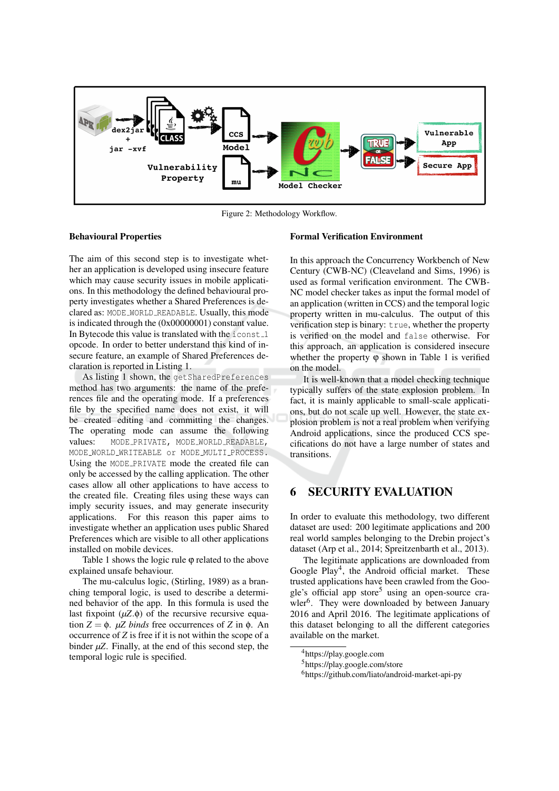

Figure 2: Methodology Workflow.

### **Behavioural Properties**

The aim of this second step is to investigate whether an application is developed using insecure feature which may cause security issues in mobile applications. In this methodology the defined behavioural property investigates whether a Shared Preferences is declared as: MODE\_WORLD\_READABLE. Usually, this mode is indicated through the  $(0x00000001)$  constant value. In Bytecode this value is translated with the iconst\_1 opcode. In order to better understand this kind of insecure feature, an example of Shared Preferences declaration is reported in Listing 1.

As listing 1 shown, the get SharedPreferences method has two arguments: the name of the preferences file and the operating mode. If a preferences file by the specified name does not exist, it will be created editing and committing the changes. The operating mode can assume the following MODE\_PRIVATE, MODE\_WORLD\_READABLE, values: MODE\_WORLD\_WRITEABLE or MODE\_MULTI\_PROCESS. Using the MODE\_PRIVATE mode the created file can only be accessed by the calling application. The other cases allow all other applications to have access to the created file. Creating files using these ways can imply security issues, and may generate insecurity applications. For this reason this paper aims to investigate whether an application uses public Shared Preferences which are visible to all other applications installed on mobile devices.

Table 1 shows the logic rule  $\varphi$  related to the above explained unsafe behaviour.

The mu-calculus logic, (Stirling, 1989) as a branching temporal logic, is used to describe a determined behavior of the app. In this formula is used the last fixpoint  $(\mu Z.\phi)$  of the recursive recursive equation  $Z = \phi$ .  $\mu Z$  binds free occurrences of Z in  $\phi$ . An occurrence of  $Z$  is free if it is not within the scope of a binder  $\mu Z$ . Finally, at the end of this second step, the temporal logic rule is specified.

### **Formal Verification Environment**

In this approach the Concurrency Workbench of New Century (CWB-NC) (Cleaveland and Sims, 1996) is used as formal verification environment. The CWB-NC model checker takes as input the formal model of an application (written in CCS) and the temporal logic property written in mu-calculus. The output of this verification step is binary: true, whether the property is verified on the model and false otherwise. For this approach, an application is considered insecure whether the property  $\varphi$  shown in Table 1 is verified on the model.

It is well-known that a model checking technique typically suffers of the state explosion problem. In fact, it is mainly applicable to small-scale applications, but do not scale up well. However, the state explosion problem is not a real problem when verifying Android applications, since the produced CCS specifications do not have a large number of states and transitions.

#### **SECURITY EVALUATION** 6

In order to evaluate this methodology, two different dataset are used: 200 legitimate applications and 200 real world samples belonging to the Drebin project's dataset (Arp et al., 2014; Spreitzenbarth et al., 2013).

The legitimate applications are downloaded from Google Play<sup>4</sup>, the Android official market. These trusted applications have been crawled from the Google's official app store<sup>5</sup> using an open-source crawler<sup>6</sup>. They were downloaded by between January 2016 and April 2016. The legitimate applications of this dataset belonging to all the different categories available on the market.

<sup>&</sup>lt;sup>4</sup>https://play.google.com

<sup>&</sup>lt;sup>5</sup>https://play.google.com/store

<sup>&</sup>lt;sup>6</sup>https://github.com/liato/android-market-api-py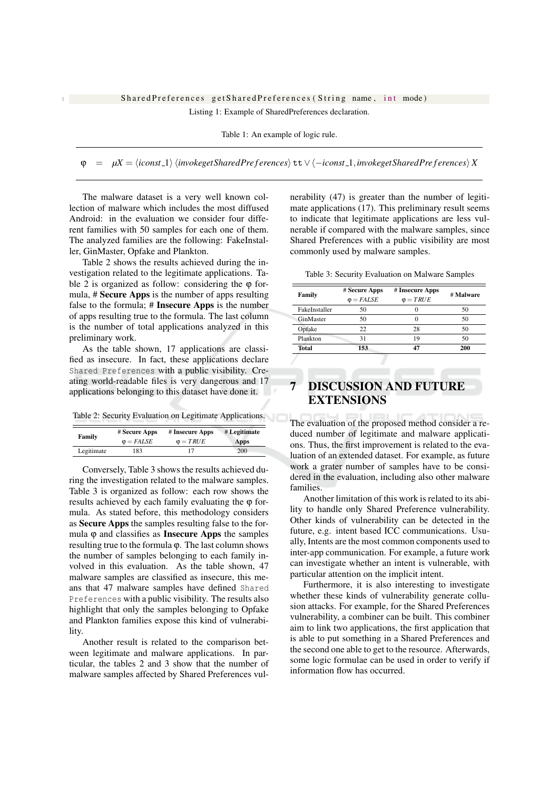## SharedPreferences getSharedPreferences (String name, int mode)

Listing 1: Example of SharedPreferences declaration.

Table 1: An example of logic rule.

 $\mu X = \langle iconst. 1 \rangle$   $\langle i n v \delta k get Shared Preferences \rangle$   $\tau t \vee \langle -i const. 1, i n v \delta k get Shared Preferences \rangle X$  $\omega$ 

The malware dataset is a very well known collection of malware which includes the most diffused Android: in the evaluation we consider four different families with 50 samples for each one of them. The analyzed families are the following: FakeInstaller, GinMaster, Opfake and Plankton.

Table 2 shows the results achieved during the investigation related to the legitimate applications. Table 2 is organized as follow: considering the  $\varphi$  formula, # Secure Apps is the number of apps resulting false to the formula;  $#$  Insecure Apps is the number of apps resulting true to the formula. The last column is the number of total applications analyzed in this preliminary work.

As the table shown, 17 applications are classified as insecure. In fact, these applications declare Shared Preferences with a public visibility. Creating world-readable files is very dangerous and 17 applications belonging to this dataset have done it.

Table 2: Security Evaluation on Legitimate Applications.

| Family     | # Secure Apps     | # Insecure Apps  | # Legitimate |
|------------|-------------------|------------------|--------------|
|            | $\varphi = FALSE$ | $\varphi = TRUE$ | Apps         |
| Legitimate | 183               |                  | 200          |

Conversely, Table 3 shows the results achieved during the investigation related to the malware samples. Table 3 is organized as follow: each row shows the results achieved by each family evaluating the  $\varphi$  formula. As stated before, this methodology considers as Secure Apps the samples resulting false to the formula  $\varphi$  and classifies as **Insecure Apps** the samples resulting true to the formula φ. The last column shows the number of samples belonging to each family involved in this evaluation. As the table shown, 47 malware samples are classified as insecure, this means that 47 malware samples have defined Shared Preferences with a public visibility. The results also highlight that only the samples belonging to Opfake and Plankton families expose this kind of vulnerability.

Another result is related to the comparison between legitimate and malware applications. In particular, the tables 2 and 3 show that the number of malware samples affected by Shared Preferences vulnerability (47) is greater than the number of legitimate applications (17). This preliminary result seems to indicate that legitimate applications are less vulnerable if compared with the malware samples, since Shared Preferences with a public visibility are most commonly used by malware samples.

Table 3: Security Evaluation on Malware Samples

| Family        | # Secure Apps  | # Insecure Apps | # Malware |
|---------------|----------------|-----------------|-----------|
|               | $\Phi = FALSE$ | $\Phi = TRUE$   |           |
| FakeInstaller | 50             | 0               | 50        |
| GinMaster     | 50             | 0               | 50        |
| Opfake        | 22             | 28              | 50        |
| Plankton      | 31             | 19              | 50        |
| <b>Total</b>  | 153            |                 | 200       |

# **DISCUSSION AND FUTURE EXTENSIONS**

The evaluation of the proposed method consider a reduced number of legitimate and malware applications. Thus, the first improvement is related to the evaluation of an extended dataset. For example, as future work a grater number of samples have to be considered in the evaluation, including also other malware families.

Another limitation of this work is related to its ability to handle only Shared Preference vulnerability. Other kinds of vulnerability can be detected in the future, e.g. intent based ICC communications. Usually, Intents are the most common components used to inter-app communication. For example, a future work can investigate whether an intent is vulnerable, with particular attention on the implicit intent.

Furthermore, it is also interesting to investigate whether these kinds of vulnerability generate collusion attacks. For example, for the Shared Preferences vulnerability, a combiner can be built. This combiner aim to link two applications, the first application that is able to put something in a Shared Preferences and the second one able to get to the resource. Afterwards, some logic formulae can be used in order to verify if information flow has occurred.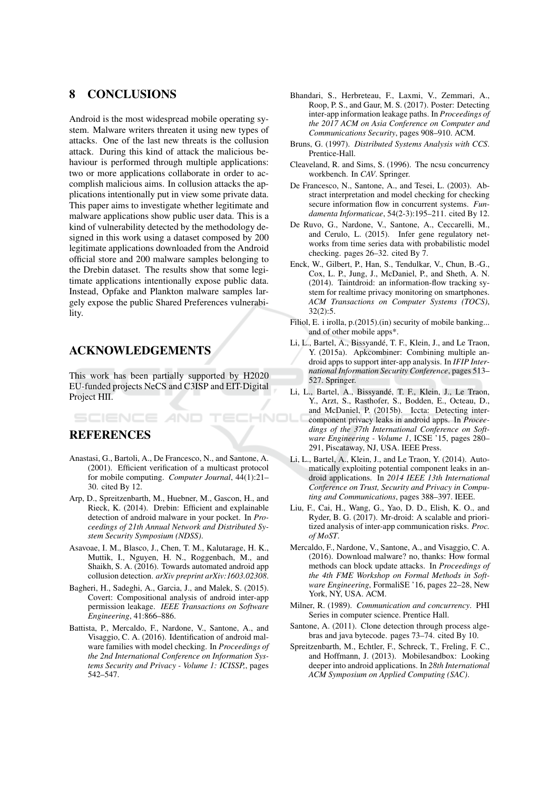#### 8 **CONCLUSIONS**

Android is the most widespread mobile operating system. Malware writers threaten it using new types of attacks. One of the last new threats is the collusion attack. During this kind of attack the malicious behaviour is performed through multiple applications: two or more applications collaborate in order to accomplish malicious aims. In collusion attacks the applications intentionally put in view some private data. This paper aims to investigate whether legitimate and malware applications show public user data. This is a kind of vulnerability detected by the methodology designed in this work using a dataset composed by 200 legitimate applications downloaded from the Android official store and 200 malware samples belonging to the Drebin dataset. The results show that some legitimate applications intentionally expose public data. Instead, Opfake and Plankton malware samples largely expose the public Shared Preferences vulnerability.

# **ACKNOWLEDGEMENTS**

**SCIENCE AND** 

This work has been partially supported by H2020 EU-funded projects NeCS and C3ISP and EIT-Digital Project HII.

# **REFERENCES**

- Anastasi, G., Bartoli, A., De Francesco, N., and Santone, A. (2001). Efficient verification of a multicast protocol for mobile computing. Computer Journal, 44(1):21-30. cited By 12.
- Arp, D., Spreitzenbarth, M., Huebner, M., Gascon, H., and Rieck, K. (2014). Drebin: Efficient and explainable detection of android malware in your pocket. In Proceedings of 21th Annual Network and Distributed System Security Symposium (NDSS).
- Asavoae, I. M., Blasco, J., Chen, T. M., Kalutarage, H. K., Muttik, I., Nguyen, H. N., Roggenbach, M., and Shaikh, S. A. (2016). Towards automated android app collusion detection. arXiv preprint arXiv:1603.02308.
- Bagheri, H., Sadeghi, A., Garcia, J., and Malek, S. (2015). Covert: Compositional analysis of android inter-app permission leakage. IEEE Transactions on Software Engineering, 41:866-886.
- Battista, P., Mercaldo, F., Nardone, V., Santone, A., and Visaggio, C. A. (2016). Identification of android malware families with model checking. In Proceedings of the 2nd International Conference on Information Systems Security and Privacy - Volume 1: ICISSP, pages 542-547.
- Bhandari, S., Herbreteau, F., Laxmi, V., Zemmari, A., Roop, P. S., and Gaur, M. S. (2017). Poster: Detecting inter-app information leakage paths. In Proceedings of the 2017 ACM on Asia Conference on Computer and Communications Security, pages 908-910. ACM.
- Bruns, G. (1997). Distributed Systems Analysis with CCS. Prentice-Hall.
- Cleaveland, R. and Sims, S. (1996). The ncsu concurrency workbench. In CAV. Springer.
- De Francesco, N., Santone, A., and Tesei, L. (2003). Abstract interpretation and model checking for checking secure information flow in concurrent systems. Fundamenta Informaticae, 54(2-3):195-211. cited By 12.
- De Ruvo, G., Nardone, V., Santone, A., Ceccarelli, M., and Cerulo, L. (2015). Infer gene regulatory networks from time series data with probabilistic model checking. pages 26–32. cited By 7.
- Enck, W., Gilbert, P., Han, S., Tendulkar, V., Chun, B.-G., Cox, L. P., Jung, J., McDaniel, P., and Sheth, A. N. (2014). Taintdroid: an information-flow tracking system for realtime privacy monitoring on smartphones. ACM Transactions on Computer Systems (TOCS),  $32(2):5.$
- Filiol, E. i irolla, p.(2015).(in) security of mobile banking... and of other mobile apps\*.
- Li, L., Bartel, A., Bissyandé, T. F., Klein, J., and Le Traon, Y. (2015a). Apkcombiner: Combining multiple android apps to support inter-app analysis. In IFIP International Information Security Conference, pages 513-527. Springer.
- Li, L., Bartel, A., Bissyandé, T. F., Klein, J., Le Traon, Y., Arzt, S., Rasthofer, S., Bodden, E., Octeau, D., and McDaniel, P. (2015b). Iccta: Detecting inter-HNOl component privacy leaks in android apps. In Proceedings of the 37th International Conference on Software Engineering - Volume 1, ICSE<sup>5</sup>15, pages 280-291, Piscataway, NJ, USA. IEEE Press.
	- Li, L., Bartel, A., Klein, J., and Le Traon, Y. (2014). Automatically exploiting potential component leaks in android applications. In 2014 IEEE 13th International Conference on Trust, Security and Privacy in Computing and Communications, pages 388-397. IEEE.
	- Liu, F., Cai, H., Wang, G., Yao, D. D., Elish, K. O., and Ryder, B. G. (2017). Mr-droid: A scalable and prioritized analysis of inter-app communication risks. Proc. of MoST.
	- Mercaldo, F., Nardone, V., Santone, A., and Visaggio, C. A. (2016). Download malware? no. thanks: How formal methods can block update attacks. In Proceedings of the 4th FME Workshop on Formal Methods in Software Engineering, FormaliSE '16, pages 22-28, New York, NY, USA, ACM.
	- Milner, R. (1989). Communication and concurrency. PHI Series in computer science. Prentice Hall.
	- Santone, A. (2011). Clone detection through process algebras and java bytecode. pages 73-74. cited By 10.
	- Spreitzenbarth, M., Echtler, F., Schreck, T., Freling, F. C., and Hoffmann, J. (2013). Mobilesandbox: Looking deeper into android applications. In 28th International ACM Symposium on Applied Computing (SAC).